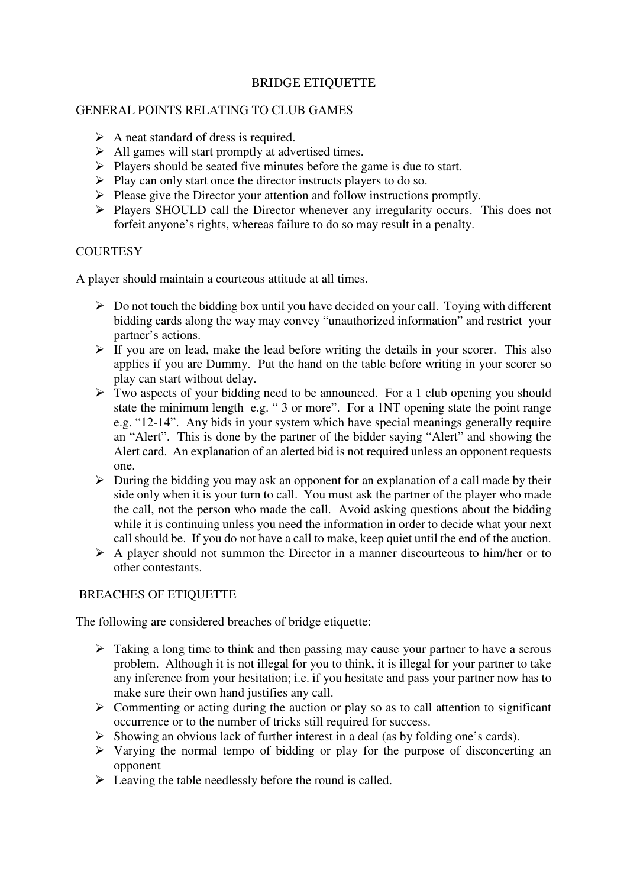## BRIDGE ETIQUETTE

## GENERAL POINTS RELATING TO CLUB GAMES

- $\triangleright$  A neat standard of dress is required.
- $\triangleright$  All games will start promptly at advertised times.
- $\triangleright$  Players should be seated five minutes before the game is due to start.
- $\triangleright$  Play can only start once the director instructs players to do so.
- $\triangleright$  Please give the Director your attention and follow instructions promptly.
- Players SHOULD call the Director whenever any irregularity occurs. This does not forfeit anyone's rights, whereas failure to do so may result in a penalty.

## **COURTESY**

A player should maintain a courteous attitude at all times.

- $\triangleright$  Do not touch the bidding box until you have decided on your call. Toying with different bidding cards along the way may convey "unauthorized information" and restrict your partner's actions.
- $\triangleright$  If you are on lead, make the lead before writing the details in your scorer. This also applies if you are Dummy. Put the hand on the table before writing in your scorer so play can start without delay.
- $\triangleright$  Two aspects of your bidding need to be announced. For a 1 club opening you should state the minimum length e.g. " 3 or more". For a 1NT opening state the point range e.g. "12-14". Any bids in your system which have special meanings generally require an "Alert". This is done by the partner of the bidder saying "Alert" and showing the Alert card. An explanation of an alerted bid is not required unless an opponent requests one.
- $\triangleright$  During the bidding you may ask an opponent for an explanation of a call made by their side only when it is your turn to call. You must ask the partner of the player who made the call, not the person who made the call. Avoid asking questions about the bidding while it is continuing unless you need the information in order to decide what your next call should be. If you do not have a call to make, keep quiet until the end of the auction.
- $\triangleright$  A player should not summon the Director in a manner discourteous to him/her or to other contestants.

## BREACHES OF ETIQUETTE

The following are considered breaches of bridge etiquette:

- $\triangleright$  Taking a long time to think and then passing may cause your partner to have a serous problem. Although it is not illegal for you to think, it is illegal for your partner to take any inference from your hesitation; i.e. if you hesitate and pass your partner now has to make sure their own hand justifies any call.
- $\triangleright$  Commenting or acting during the auction or play so as to call attention to significant occurrence or to the number of tricks still required for success.
- $\triangleright$  Showing an obvious lack of further interest in a deal (as by folding one's cards).
- $\triangleright$  Varying the normal tempo of bidding or play for the purpose of disconcerting an opponent
- $\triangleright$  Leaving the table needlessly before the round is called.